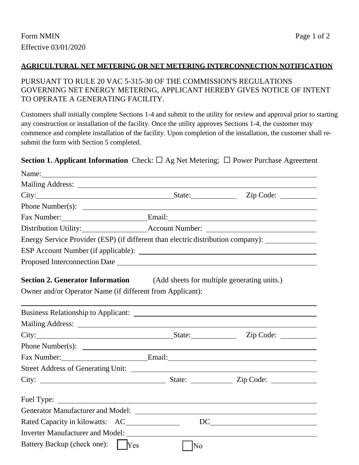#### **AGRICULTURAL NET METERING OR NET METERING INTERCONNECTION NOTIFICATION**

### PURSUANT TO RULE 20 VAC 5-315-30 OF THE COMMISSION'S REGULATIONS GOVERNING NET ENERGY METERING, APPLICANT HEREBY GIVES NOTICE OF INTENT TO OPERATE A GENERATING FACILITY.

Customers shall initially complete Sections 1-4 and submit to the utility for review and approval prior to starting any construction or installation of the facility. Once the utility approves Sections 1-4, the customer may commence and complete installation of the facility. Upon completion of the installation, the customer shall resubmit the form with Section 5 completed.

### **Section 1. Applicant Information** Check:□ Ag Net Metering; □ Power Purchase Agreement

| City: City: City: City: City: City: City: City: City: City: City: City: City: City: City: City: City: City: City: City: City: City: City: City: City: City: City: City: City: City: City: City: City: City: City: City: City: |            |                                               |
|-------------------------------------------------------------------------------------------------------------------------------------------------------------------------------------------------------------------------------|------------|-----------------------------------------------|
|                                                                                                                                                                                                                               |            |                                               |
| Fax Number: Email: Email:                                                                                                                                                                                                     |            |                                               |
|                                                                                                                                                                                                                               |            |                                               |
| Energy Service Provider (ESP) (if different than electric distribution company): __________________                                                                                                                           |            |                                               |
|                                                                                                                                                                                                                               |            |                                               |
| Proposed Interconnection Date                                                                                                                                                                                                 |            |                                               |
| <b>Section 2. Generator Information</b> (Add sheets for multiple generating units.)<br>Owner and/or Operator Name (if different from Applicant):                                                                              |            |                                               |
|                                                                                                                                                                                                                               |            |                                               |
|                                                                                                                                                                                                                               |            |                                               |
| City: City: City: City: City: City: City: City: City: City: City: City: City: City: City: City: City: City: City: City: City: City: City: City: City: City: City: City: City: City: City: City: City: City: City: City: City: |            |                                               |
|                                                                                                                                                                                                                               |            |                                               |
| Fax Number: Email: Email:                                                                                                                                                                                                     |            |                                               |
| <b>Street Address of Generating Unit:</b>                                                                                                                                                                                     |            |                                               |
|                                                                                                                                                                                                                               |            |                                               |
| Fuel Type:                                                                                                                                                                                                                    |            |                                               |
|                                                                                                                                                                                                                               |            |                                               |
| Rated Capacity in kilowatts: AC_______________                                                                                                                                                                                |            | $DC \qquad \qquad \overbrace{\qquad \qquad }$ |
| Inverter Manufacturer and Model:                                                                                                                                                                                              |            |                                               |
| Battery Backup (check one):<br>$\mathbf{L}$                                                                                                                                                                                   | Yes<br> No |                                               |